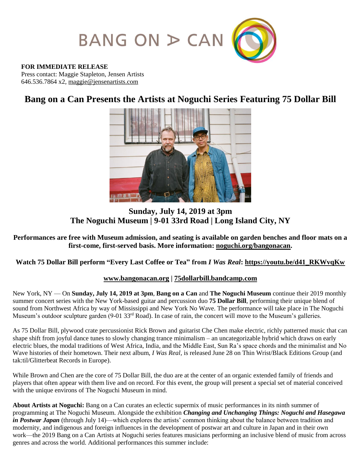

#### **FOR IMMEDIATE RELEASE**

Press contact: Maggie Stapleton, Jensen Artists 646.536.7864 x2, [maggie@jensenartists.com](mailto:maggie@jensenartists.com)

# **Bang on a Can Presents the Artists at Noguchi Series Featuring 75 Dollar Bill**



## **Sunday, July 14, 2019 at 3pm The Noguchi Museum | 9-01 33rd Road | Long Island City, NY**

#### **Performances are free with Museum admission, and seating is available on garden benches and floor mats on a first-come, first-served basis. More information: [noguchi.org/bangonacan.](https://www.noguchi.org/programs/public/artists-noguchi-bang-can-music-series-75-dollar-bill-july-14-2019)**

### **Watch 75 Dollar Bill perform "Every Last Coffee or Tea" from** *I Was Real***: [https://youtu.be/d41\\_RKWvqKw](https://youtu.be/d41_RKWvqKw)**

#### **[www.bangonacan.org](http://www.bangonacan.org/) | [75dollarbill.bandcamp.com](https://75dollarbill.bandcamp.com/)**

New York, NY — On **Sunday, July 14, 2019 at 3pm**, **Bang on a Can** and **The Noguchi Museum** continue their 2019 monthly summer concert series with the New York-based guitar and percussion duo **75 Dollar Bill**, performing their unique blend of sound from Northwest Africa by way of Mississippi and New York No Wave. The performance will take place in The Noguchi Museum's outdoor sculpture garden (9-01 33<sup>rd</sup> Road). In case of rain, the concert will move to the Museum's galleries.

As 75 Dollar Bill, plywood crate percussionist Rick Brown and guitarist Che Chen make electric, richly patterned music that can shape shift from joyful dance tunes to slowly changing trance minimalism – an uncategorizable hybrid which draws on early electric blues, the modal traditions of West Africa, India, and the Middle East, Sun Ra's space chords and the minimalist and No Wave histories of their hometown. Their next album, *I Was Real,* is released June 28 on Thin Wrist/Black Editions Group (and tak:til/Glitterbeat Records in Europe).

While Brown and Chen are the core of 75 Dollar Bill, the duo are at the center of an organic extended family of friends and players that often appear with them live and on record. For this event, the group will present a special set of material conceived with the unique environs of The Noguchi Museum in mind.

**About Artists at Noguchi:** Bang on a Can curates an eclectic supermix of music performances in its ninth summer of programming at The Noguchi Museum. Alongside the exhibition *Changing and Unchanging Things: Noguchi and Hasegawa in Postwar Japan* (through July 14)—which explores the artists' common thinking about the balance between tradition and modernity, and indigenous and foreign influences in the development of postwar art and culture in Japan and in their own work—the 2019 Bang on a Can Artists at Noguchi series features musicians performing an inclusive blend of music from across genres and across the world. Additional performances this summer include: